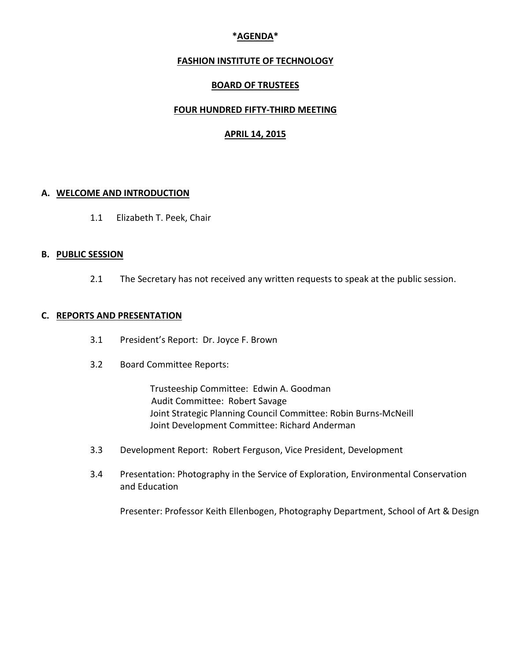# **\*AGENDA\***

### **FASHION INSTITUTE OF TECHNOLOGY**

### **BOARD OF TRUSTEES**

### **FOUR HUNDRED FIFTY-THIRD MEETING**

### **APRIL 14, 2015**

#### **A. WELCOME AND INTRODUCTION**

1.1 Elizabeth T. Peek, Chair

#### **B. PUBLIC SESSION**

2.1 The Secretary has not received any written requests to speak at the public session.

#### **C. REPORTS AND PRESENTATION**

- 3.1 President's Report: Dr. Joyce F. Brown
- 3.2 Board Committee Reports:

Trusteeship Committee: Edwin A. Goodman Audit Committee: Robert Savage Joint Strategic Planning Council Committee: Robin Burns-McNeill Joint Development Committee: Richard Anderman

- 3.3 Development Report: Robert Ferguson, Vice President, Development
- 3.4 Presentation: Photography in the Service of Exploration, Environmental Conservation and Education

Presenter: Professor Keith Ellenbogen, Photography Department, School of Art & Design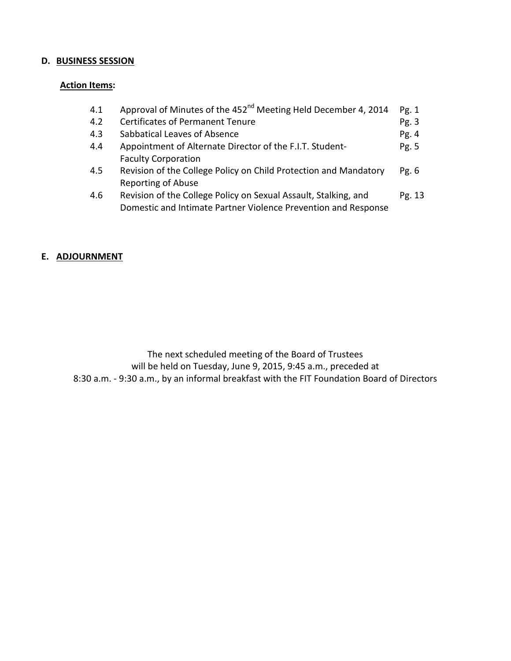# **D. BUSINESS SESSION**

# **Action Items:**

| 4.1 | Approval of Minutes of the 452 <sup>nd</sup> Meeting Held December 4, 2014 | Pg. 1  |
|-----|----------------------------------------------------------------------------|--------|
| 4.2 | <b>Certificates of Permanent Tenure</b>                                    | Pg. 3  |
| 4.3 | Sabbatical Leaves of Absence                                               | Pg.4   |
| 4.4 | Appointment of Alternate Director of the F.I.T. Student-                   | Pg. 5  |
|     | <b>Faculty Corporation</b>                                                 |        |
| 4.5 | Revision of the College Policy on Child Protection and Mandatory           | Pg. 6  |
|     | <b>Reporting of Abuse</b>                                                  |        |
| 4.6 | Revision of the College Policy on Sexual Assault, Stalking, and            | Pg. 13 |
|     | Domestic and Intimate Partner Violence Prevention and Response             |        |

### **E. ADJOURNMENT**

The next scheduled meeting of the Board of Trustees will be held on Tuesday, June 9, 2015, 9:45 a.m., preceded at 8:30 a.m. - 9:30 a.m., by an informal breakfast with the FIT Foundation Board of Directors